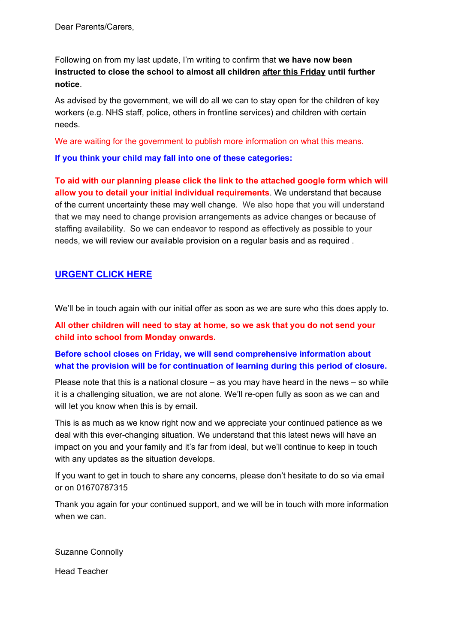Dear Parents/Carers,

Following on from my last update, I'm writing to confirm that **we have now been instructed to close the school to almost all children after this Friday until further notice**.

As advised by the government, we will do all we can to stay open for the children of key workers (e.g. NHS staff, police, others in frontline services) and children with certain needs.

We are waiting for the government to publish more information on what this means.

**If you think your child may fall into one of these categories:**

**To aid with our planning please click the link to the attached google form which will allow you to detail your initial individual requirements**. We understand that because of the current uncertainty these may well change. We also hope that you will understand that we may need to change provision arrangements as advice changes or because of staffing availability. So we can endeavor to respond as effectively as possible to your needs, we will review our available provision on a regular basis and as required .

## **URGENT CLICK HERE**

We'll be in touch again with our initial offer as soon as we are sure who this does apply to.

**All other children will need to stay at home, so we ask that you do not send your child into school from Monday onwards.**

## **Before school closes on Friday, we will send comprehensive information about what the provision will be for continuation of learning during this period of closure.**

Please note that this is a national closure – as you may have heard in the news – so while it is a challenging situation, we are not alone. We'll re-open fully as soon as we can and will let you know when this is by email.

This is as much as we know right now and we appreciate your continued patience as we deal with this ever-changing situation. We understand that this latest news will have an impact on you and your family and it's far from ideal, but we'll continue to keep in touch with any updates as the situation develops.

If you want to get in touch to share any concerns, please don't hesitate to do so via email or on 01670787315

Thank you again for your continued support, and we will be in touch with more information when we can.

Suzanne Connolly

Head Teacher